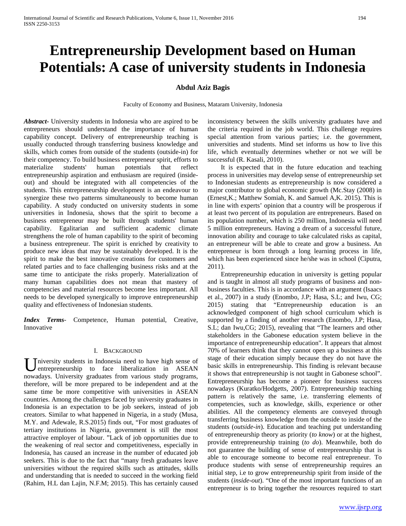# **Entrepreneurship Development based on Human Potentials: A case of university students in Indonesia**

## **Abdul Aziz Bagis**

Faculty of Economy and Business, Mataram University, Indonesia

*Abstract***-** University students in Indonesia who are aspired to be entrepreneurs should understand the importance of human capability concept. Delivery of entrepreneurship teaching is usually conducted through transferring business knowledge and skills, which comes from outside of the students (outside-in) for their competency. To build business entrepreneur spirit, efforts to materialize students' human potentials that reflect entrepreneurship aspiration and enthusiasm are required (insideout) and should be integrated with all competencies of the students. This entrepreneurship development is an endeavour to synergize these two patterns simultaneously to become human capability. A study conducted on university students in some universities in Indonesia, shows that the spirit to become a business entrepreneur may be built through students' human capability. Egalitarian and sufficient academic climate strengthens the role of human capability to the spirit of becoming a business entrepreneur. The spirit is enriched by creativity to produce new ideas that may be sustainably developed. It is the spirit to make the best innovative creations for customers and related parties and to face challenging business risks and at the same time to anticipate the risks properly. Materialization of many human capabilities does not mean that mastery of competencies and material resources become less important. All needs to be developed synergically to improve entrepreneurship quality and effectiveness of Indonesian students.

*Index Terms*- Competence, Human potential, Creative, Innovative

#### I. BACKGROUND

niversity students in Indonesia need to have high sense of entrepreneurship to face liberalization in ASEAN University students in Indonesia need to have high sense of entrepreneurship to face liberalization in ASEAN nowadays. University graduates from various study programs, therefore, will be more prepared to be independent and at the same time be more competitive with universities in ASEAN countries. Among the challenges faced by university graduates in Indonesia is an expectation to be job seekers, instead of job creators. Similar to what happened in Nigeria, in a study (Musa, M.Y. and Adewale, R.S.2015) finds out, "For most graduates of tertiary institutions in Nigeria, government is still the most attractive employer of labour. "Lack of job opportunities due to the weakening of real sector and competitiveness, especially in Indonesia, has caused an increase in the number of educated job seekers. This is due to the fact that "many fresh graduates leave universities without the required skills such as attitudes, skills and understanding that is needed to succeed in the working field (Rahim, H.L dan Lajin, N.F.M; 2015). This has certainly caused

inconsistency between the skills university graduates have and the criteria required in the job world. This challenge requires special attention from various parties; i.e. the government, universities and students. Mind set informs us how to live this life, which eventually determines whether or not we will be successful (R. Kasali, 2010).

 It is expected that in the future education and teaching process in universities may develop sense of entrepreneurship set to Indonesian students as entrepreneurship is now considered a major contributor to global economic growth (Mc.Stay (2008) in (Ernest,K.; Matthew Somiah, K. and Samuel A,K. 2015). This is in line with experts' opinion that a country will be prosperous if at least two percent of its population are entrepreneurs. Based on its population number, which is 250 million, Indonesia will need 5 million entrepreneurs. Having a dream of a successful future, innovation ability and courage to take calculated risks as capital, an entrepreneur will be able to create and grow a business. An entrepreneur is born through a long learning process in life, which has been experienced since he/she was in school (Ciputra, 2011).

 Entrepreneurship education in university is getting popular and is taught in almost all study programs of business and nonbusiness faculties. This is in accordance with an argument (Isaacs et al., 2007) in a study (Enombo, J.P; Hasa, S.L; and Iwu, CG; 2015) stating that "Entrepreneurship education is an acknowledged component of high school curriculum which is supported by a finding of another research (Enombo, J.P; Hasa, S.L; dan Iwu,CG; 2015), revealing that "The learners and other stakeholders in the Gabonese education system believe in the importance of entrepreneurship education". It appears that almost 70% of learners think that they cannot open up a business at this stage of their education simply because they do not have the basic skills in entrepreneurship. This finding is relevant because it shows that entrepreneurship is not taught in Gabonese school". Entrepreneurship has become a pioneer for business success nowadays (Kuratko/Hodgetts, 2007). Entrepreneurship teaching pattern is relatively the same, i.e. transferring elements of competencies, such as knowledge, skills, experience or other abilities. All the competency elements are conveyed through transferring business knowledge from the outside to inside of the students (*outside-in*). Education and teaching put understanding of entrepreneurship theory as priority (*to know*) or at the highest, provide entrepreneurship training (*to do*). Meanwhile, both do not guarantee the building of sense of entrepreneurship that is able to encourage someone to become real entrepreneur. To produce students with sense of entrepreneurship requires an initial step, i.e to grow entrepreneurship spirit from inside of the students (*inside-out*). "One of the most important functions of an entrepreneur is to bring together the resources required to start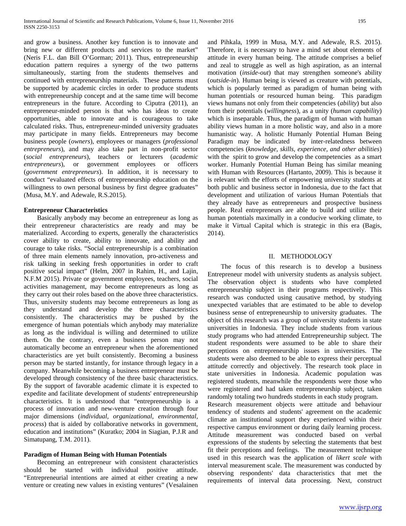and grow a business. Another key function is to innovate and bring new or different products and services to the market" (Neris F.L. dan Bill O'Gorman; 2011). Thus, entrepreneurship education pattern requires a synergy of the two patterns simultaneously, starting from the students themselves and continued with entrepreneurship materials. These patterns must be supported by academic circles in order to produce students with entrepreneurship concept and at the same time will become entrepreneurs in the future. According to Ciputra (2011), an entrepreneur-minded person is that who has ideas to create opportunities, able to innovate and is courageous to take calculated risks. Thus, entrepreneur-minded university graduates may participate in many fields. Entrepreneurs may become business people (*owners*), employees or managers (*professional entrepreneurs*), and may also take part in non-profit sector (*social entrepreneurs*), teachers or lecturers (*academic entrepreneurs*), or government employees or officers (*government entrepreneurs*). In addition, it is necessary to conduct "evaluated effects of entrepreneurship education on the willingness to own personal business by first degree graduates" (Musa, M.Y. and Adewale, R.S.2015).

## **Entrepreneur Characteristics**

 Basically anybody may become an entrepreneur as long as their entrepreneur characteristics are ready and may be materialized. According to experts, generally the characteristics cover ability to create, ability to innovate, and ability and courage to take risks. "Social entrepreneurship is a combination of three main elements namely innovation, pro-activeness and risk talking in seeking fresh opportunities in order to craft positive social impact" (Helm, 2007 in Rahim, H., and Lajin, N.F.M 2015). Private or government employees, teachers, social activities management, may become entrepreneurs as long as they carry out their roles based on the above three characteristics. Thus, university students may become entrepreneurs as long as they understand and develop the three characteristics consistently. The characteristics may be pushed by the emergence of human potentials which anybody may materialize as long as the individual is willing and determined to utilize them. On the contrary, even a business person may not automatically become an entrepreneur when the aforementioned characteristics are yet built consistently. Becoming a business person may be started instantly, for instance through legacy in a company. Meanwhile becoming a business entrepreneur must be developed through consistency of the three basic characteristics. By the support of favorable academic climate it is expected to expedite and facilitate development of students' entrepreneurship characteristics. It is understood that "entrepreneurship is a process of innovation and new-venture creation through four major dimensions (*individual, organizational, environmental, process*) that is aided by collaborative networks in government, education and institutions" (Kuratko; 2004 in Siagian, P.J.R and Simatupang, T.M. 2011).

## **Paradigm of Human Being with Human Potentials**

 Becoming an entrepreneur with consistent characteristics should be started with individual positive attitude. "Entrepreneurial intentions are aimed at either creating a new venture or creating new values in existing ventures" (Vesalainen and Pihkala, 1999 in Musa, M.Y. and Adewale, R.S. 2015). Therefore, it is necessary to have a mind set about elements of attitude in every human being. The attitude comprises a belief and zeal to struggle as well as high aspiration, as an internal motivation (*inside-out*) that may strengthen someone's ability (*outside-in*). Human being is viewed as creature with potentials, which is popularly termed as paradigm of human being with human potentials or resourced human being. This paradigm views humans not only from their competencies (*ability*) but also from their potentials (*willingness*), as a unity (*human capability*) which is inseparable. Thus, the paradigm of human with human ability views human in a more holistic way, and also in a more humanistic way. A holistic Humanly Potential Human Being Paradigm may be indicated by inter-relatedness between competencies (*knowledge, skills, experience, and other abilities*) with the spirit to grow and develop the competencies as a smart worker. Humanly Potential Human Being has similar meaning with Human with Resources (Hartanto, 2009). This is because it is relevant with the efforts of empowering university students at both public and business sector in Indonesia, due to the fact that development and utilization of various Human Potentials that they already have as entrepreneurs and prospective business people. Real entrepreneurs are able to build and utilize their human potentials maximally in a conducive working climate, to make it Virtual Capital which is strategic in this era (Bagis, 2014).

#### II. METHODOLOGY

 The focus of this research is to develop a business Entrepreneur model with university students as analysis subject. The observation object is students who have completed entrepreneurship subject in their programs respectively. This research was conducted using causative method, by studying unexpected variables that are estimated to be able to develop business sense of entrepreneurship to university graduates. The object of this research was a group of university students in state universities in Indonesia. They include students from various study programs who had attended Entrepreneurship subject. The student respondents were assumed to be able to share their perceptions on entrepreneurship issues in universities. The students were also deemed to be able to express their perceptual attitude correctly and objectively. The research took place in state universities in Indonesia. Academic population was registered students, meanwhile the respondents were those who were registered and had taken entrepreneurship subject, taken randomly totaling two hundreds students in each study program. Research measurement objects were attitude and behaviour tendency of students and students' agreement on the academic climate an institutional support they experienced within their respective campus environment or during daily learning process. Attitude measurement was conducted based on verbal expressions of the students by selecting the statements that best fit their perceptions and feelings. The measurement technique used in this research was the application of *likert scale* with interval measurement scale. The measurement was conducted by observing respondents' data characteristics that met the requirements of interval data processing. Next, construct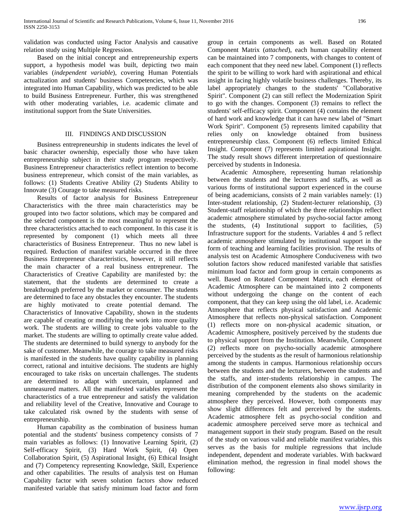validation was conducted using Factor Analysis and causative relation study using Multiple Regression.

 Based on the initial concept and entrepreneurship experts support, a hypothesis model was built, depicting two main variables (*independent variable*), covering Human Potentials actualization and students' business Competencies, which was integrated into Human Capability, which was predicted to be able to build Business Entrepreneur. Further, this was strengthened with other moderating variables, i.e. academic climate and institutional support from the State Universities.

#### III. FINDINGS AND DISCUSSION

 Business entrepreneurship in students indicates the level of basic character ownership, especially those who have taken entrepreneurship subject in their study program respectively. Business Entrepreneur characteristics reflect intention to become business entrepreneur, which consist of the main variables, as follows: (1) Students Creative Ability (2) Students Ability to Innovate (3) Courage to take measured risks.

 Results of factor analysis for Business Entrepreneur Characteristics with the three main characteristics may be grouped into two factor solutions, which may be compared and the selected component is the most meaningful to represent the three characteristics attached to each component. In this case it is represented by component (1) which meets all three characteristics of Business Entrepreneur. Thus no new label is required. Reduction of manifest variable occurred in the three Business Entrepreneur characteristics, however, it still reflects the main character of a real business entrepreneur. The Characteristics of Creative Capability are manifested by: the statement, that the students are determined to create a breakthrough preferred by the market or consumer. The students are determined to face any obstacles they encounter. The students are highly motivated to create potential demand. The Characteristics of Innovative Capability, shown in the students are capable of creating or modifying the work into more quality work. The students are willing to create jobs valuable to the market. The students are willing to optimally create value added. The students are determined to build synergy to anybody for the sake of customer. Meanwhile, the courage to take measured risks is manifested in the students have quality capability in planning correct, rational and intuitive decisions. The students are highly encouraged to take risks on uncertain challenges. The students are determined to adapt with uncertain, unplanned and unmeasured matters. All the manifested variables represent the characteristics of a true entrepreneur and satisfy the validation and reliability level of the Creative, Innovative and Courage to take calculated risk owned by the students with sense of entrepreneurship.

 Human capability as the combination of business human potential and the students' business competency consists of 7 main variables as follows: (1) Innovative Learning Spirit, (2) Self-efficacy Spirit, (3) Hard Work Spirit, (4) Open Collaboration Spirit, (5) Aspirational Insight, (6) Ethical Insight and (7) Competency representing Knowledge, Skill, Experience and other capabilities. The results of analysis test on Human Capability factor with seven solution factors show reduced manifested variable that satisfy minimum load factor and form group in certain components as well. Based on Rotated Component Matrix (*attached*), each human capability element can be maintained into 7 components, with changes to content of each component that they need new label. Component (1) reflects the spirit to be willing to work hard with aspirational and ethical insight in facing highly volatile business challenges. Thereby, its label appropriately changes to the students' "Collaborative Spirit". Component (2) can still reflect the Modernization Spirit to go with the changes. Component (3) remains to reflect the students' self-efficacy spirit. Component (4) contains the element of hard work and knowledge that it can have new label of "Smart Work Spirit". Component (5) represents limited capability that relies only on knowledge obtained from business entrepreneurship class. Component (6) reflects limited Ethical Insight. Component (7) represents limited aspirational Insight. The study result shows different interpretation of questionnaire perceived by students in Indonesia.

 Academic Atmosphere, representing human relationship between the students and the lecturers and staffs, as well as various forms of institutional support experienced in the course of being academicians, consists of 2 main variables namely: (1) Inter-student relationship, (2) Student-lecturer relationship, (3) Student-staff relationship of which the three relationships reflect academic atmosphere stimulated by psycho-social factor among the students, (4) Institutional support to facilities, (5) Infrastructure support for the students. Variables 4 and 5 reflect academic atmosphere stimulated by institutional support in the form of teaching and learning facilities provision. The results of analysis test on Academic Atmosphere Conduciveness with two solution factors show reduced manifested variable that satisfies minimum load factor and form group in certain components as well. Based on Rotated Component Matrix, each element of Academic Atmosphere can be maintained into 2 components without undergoing the change on the content of each component, that they can keep using the old label, i.e. Academic Atmosphere that reflects physical satisfaction and Academic Atmosphere that reflects non-physical satisfaction. Component (1) reflects more on non-physical academic situation, or Academic Atmosphere, positively perceived by the students due to physical support from the Institution. Meanwhile, Component (2) reflects more on psycho-socially academic atmosphere perceived by the students as the result of harmonious relationship among the students in campus. Harmonious relationship occurs between the students and the lecturers, between the students and the staffs, and inter-students relationship in campus. The distribution of the component elements also shows similarity in meaning comprehended by the students on the academic atmosphere they perceived. However, both components may show slight differences felt and perceived by the students. Academic atmosphere felt as psycho-social condition and academic atmosphere perceived serve more as technical and management support in their study program. Based on the result of the study on various valid and reliable manifest variables, this serves as the basis for multiple regressions that include independent, dependent and moderate variables. With backward elimination method, the regression in final model shows the following: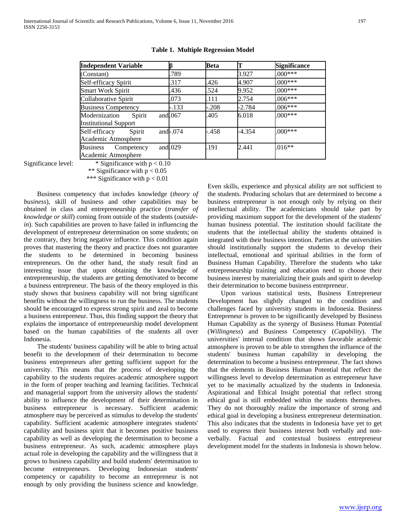| <b>Independent Variable</b>                             | ß           | <b>Beta</b> | T        | <b>Significance</b> |
|---------------------------------------------------------|-------------|-------------|----------|---------------------|
| (Constant)                                              | .789        |             | 3.927    | $0.00$ ***          |
| Self-efficacy Spirit                                    | .317        | .426        | 4.907    | $.000***$           |
| <b>Smart Work Spirit</b>                                | .436        | .524        | 9.952    | $000***$            |
| Collaborative Spirit                                    | .073        | .111        | 2.754    | $.006***$           |
| <b>Business Competency</b>                              | $-.133$     | -.208       | $-2.784$ | $.006***$           |
| Modernization<br>Spirit<br><b>Institutional Support</b> | and $.067$  | .405        | 6.018    | $.000***$           |
| Self-efficacy<br>Spirit<br>Academic Atmosphere          | and $-.074$ | -.458       | $-4.354$ | $.000***$           |
| <b>Business</b><br>Competency<br>Academic Atmosphere    | and $.029$  | .191        | 2.441    | $.016**$            |

#### **Table 1. Multiple Regression Model**

Significance level:  $*$  Significance with  $p < 0.10$ 

\*\* Significance with  $p < 0.05$ 

\*\*\* Significance with  $p < 0.01$ 

 Business competency that includes knowledge (*theory of business*), skill of business and other capabilities may be obtained in class and entrepreneurship practice (*transfer of knowledge or skill*) coming from outside of the students (*outsidein*). Such capabilities are proven to have failed in influencing the development of entrepreneur determination on some students; on the contrary, they bring negative influence. This condition again proves that mastering the theory and practice does not guarantee the students to be determined in becoming business entrepreneurs. On the other hand, the study result find an interesting issue that upon obtaining the knowledge of entrepreneurship, the students are getting demotivated to become a business entrepreneur. The basis of the theory employed in this study shows that business capability will not bring significant benefits without the willingness to run the business. The students should be encouraged to express strong spirit and zeal to become a business entrepreneur. Thus, this finding support the theory that explains the importance of entrepreneurship model development based on the human capabilities of the students all over Indonesia.

 The students' business capability will be able to bring actual benefit to the development of their determination to become business entrepreneurs after getting sufficient support for the university. This means that the process of developing the capability to the students requires academic atmosphere support in the form of proper teaching and learning facilities. Technical and managerial support from the university allows the students' ability to influence the development of their determination in business entrepreneur is necessary. Sufficient academic atmosphere may be perceived as stimulus to develop the students' capability. Sufficient academic atmosphere integrates students' capability and business spirit that it becomes positive business capability as well as developing the determination to become a business entrepreneur. As such, academic atmosphere plays actual role in developing the capability and the willingness that it grows to business capability and build students' determination to become entrepreneurs. Developing Indonesian students' competency or capability to become an entrepreneur is not enough by only providing the business science and knowledge. Even skills, experience and physical ability are not sufficient to the students. Producing scholars that are determined to become a business entrepreneur is not enough only by relying on their intellectual ability. The academicians should take part by providing maximum support for the development of the students' human business potential. The institution should facilitate the students that the intellectual ability the students obtained is integrated with their business intention. Parties at the universities should institutionally support the students to develop their intellectual, emotional and spiritual abilities in the form of Business Human Capability. Therefore the students who take entrepreneurship training and education need to choose their business interest by materializing their goals and spirit to develop their determination to become business entrepreneur.

 Upon various statistical tests, Business Entrepreneur Development has slightly changed to the condition and challenges faced by university students in Indonesia. Business Entrepreneur is proven to be significantly developed by Business Human Capability as the synergy of Business Human Potential (*Willingness*) and Business Competency (*Capability*). The universities' internal condition that shows favorable academic atmosphere is proven to be able to strengthen the influence of the students' business human capability in developing the determination to become a business entrepreneur. The fact shows that the elements in Business Human Potential that reflect the willingness level to develop determination as entrepreneur have yet to be maximally actualized by the students in Indonesia. Aspirational and Ethical Insight potential that reflect strong ethical goal is still embedded within the students themselves. They do not thoroughly realize the importance of strong and ethical goal in developing a business entrepreneur determination. This also indicates that the students in Indonesia have yet to get used to express their business interest both verbally and nonverbally. Factual and contextual business entrepreneur development model for the students in Indonesia is shown below.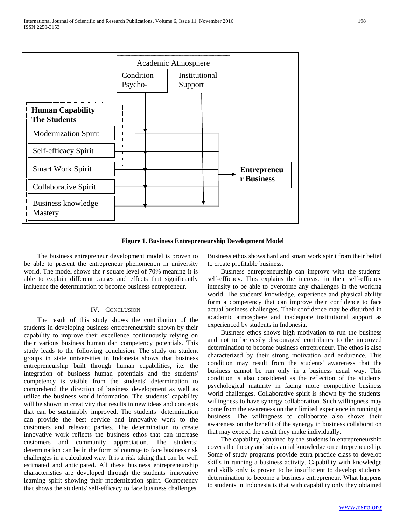

**Figure 1. Business Entrepreneurship Development Model**

 The business entrepreneur development model is proven to be able to present the entrepreneur phenomenon in university world. The model shows the r square level of 70% meaning it is able to explain different causes and effects that significantly influence the determination to become business entrepreneur.

#### IV. CONCLUSION

 The result of this study shows the contribution of the students in developing business entrepreneurship shown by their capability to improve their excellence continuously relying on their various business human dan competency potentials. This study leads to the following conclusion: The study on student groups in state universities in Indonesia shows that business entrepreneurship built through human capabilities, i.e. the integration of business human potentials and the students' competency is visible from the students' determination to comprehend the direction of business development as well as utilize the business world information. The students' capability will be shown in creativity that results in new ideas and concepts that can be sustainably improved. The students' determination can provide the best service and innovative work to the customers and relevant parties. The determination to create innovative work reflects the business ethos that can increase customers and community appreciation. The students' determination can be in the form of courage to face business risk challenges in a calculated way. It is a risk taking that can be well estimated and anticipated. All these business entrepreneurship characteristics are developed through the students' innovative learning spirit showing their modernization spirit. Competency that shows the students' self-efficacy to face business challenges.

Business ethos shows hard and smart work spirit from their belief to create profitable business.

 Business entrepreneurship can improve with the students' self-efficacy. This explains the increase in their self-efficacy intensity to be able to overcome any challenges in the working world. The students' knowledge, experience and physical ability form a competency that can improve their confidence to face actual business challenges. Their confidence may be disturbed in academic atmosphere and inadequate institutional support as experienced by students in Indonesia.

 Business ethos shows high motivation to run the business and not to be easily discouraged contributes to the improved determination to become business entrepreneur. The ethos is also characterized by their strong motivation and endurance. This condition may result from the students' awareness that the business cannot be run only in a business usual way. This condition is also considered as the reflection of the students' psychological maturity in facing more competitive business world challenges. Collaborative spirit is shown by the students' willingness to have synergy collaboration. Such willingness may come from the awareness on their limited experience in running a business. The willingness to collaborate also shows their awareness on the benefit of the synergy in business collaboration that may exceed the result they make individually.

 The capability, obtained by the students in entrepreneurship covers the theory and substantial knowledge on entrepreneurship. Some of study programs provide extra practice class to develop skills in running a business activity. Capability with knowledge and skills only is proven to be insufficient to develop students' determination to become a business entrepreneur. What happens to students in Indonesia is that with capability only they obtained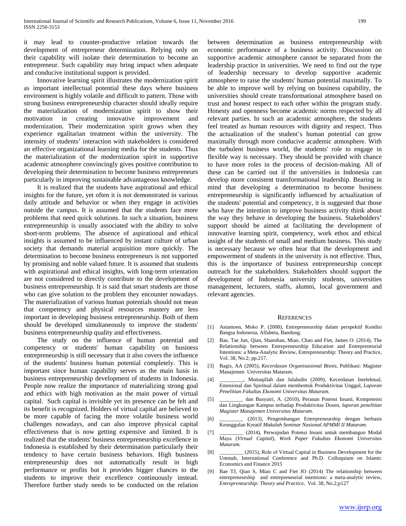it may lead to counter-productive relation towards the development of entrepreneur determination. Relying only on their capability will isolate their determination to become an entrepreneur. Such capability may bring impact when adequate and conducive institutional support is provided.

 Innovative learning spirit illustrates the modernization spirit as important intellectual potential these days where business environment is highly volatile and difficult to pattern. Those with strong business entrepreneurship character should ideally require the materialization of modernization spirit to show their motivation in creating innovative improvement and modernization. Their modernization spirit grows when they experience egalitarian treatment within the university. The intensity of students' interaction with stakeholders is considered an effective organizational learning media for the students. Thus the materialization of the modernization spirit in supportive academic atmosphere convincingly gives positive contribution to developing their determination to become business entrepreneurs particularly in improving sustainable advantageous knowledge.

 It is realized that the students have aspirational and ethical insights for the future, yet often it is not demonstrated in various daily attitude and behavior or when they engage in activities outside the campus. It is assumed that the students face more problems that need quick solutions. In such a situation, business entrepreneurship is usually associated with the ability to solve short-term problems. The absence of aspirational and ethical insights is assumed to be influenced by instant culture of urban society that demands material acquisition more quickly. The determination to become business entrepreneurs is not supported by promising and noble valued future. It is assumed that students with aspirational and ethical insights, with long-term orientation are not considered to directly contribute to the development of business entrepreneurship. It is said that smart students are those who can give solution to the problem they encounter nowadays. The materialization of various human potentials should not mean that competency and physical resources mastery are less important in developing business entrepreneurship. Both of them should be developed simultaneously to improve the students' business entrepreneurship quality and effectiveness.

 The study on the influence of human potential and competency or students' human capability on business entrepreneurship is still necessary that it also covers the influence of the students' business human potential completely. This is important since human capability serves as the main basis in business entrepreneurship development of students in Indonesia. People now realize the importance of materializing strong goal and ethics with high motivation as the main power of virtual capital. Such capital is invisible yet its presence can be felt and its benefit is recognized. Holders of virtual capital are believed to be more capable of facing the more volatile business world challenges nowadays, and can also improve physical capital effectiveness that is now getting expensive and limited. It is realized that the students' business entrepreneurship excellence in Indonesia is established by their determination particularly their tendency to have certain business behaviors. High business entrepreneurship does not automatically result in high performance or profits but it provides bigger chances to the students to improve their excellence continuously instead. Therefore further study needs to be conducted on the relation between determination as business entrepreneurship with economic performance of a business activity. Discussion on supportive academic atmosphere cannot be separated from the leadership practice in universities. We need to find out the type of leadership necessary to develop supportive academic atmosphere to raise the students' human potential maximally. To be able to improve well by relying on business capability, the universities should create transformational atmosphere based on trust and honest respect to each other within the program study. Honesty and openness become academic norms respected by all relevant parties. In such an academic atmosphere, the students feel treated as human resources with dignity and respect. Thus the actualization of the student's human potential can grow maximally through more conducive academic atmosphere. With the turbulent business world, the students' role to engage in flexible way is necessary. They should be provided with chance to have more roles in the process of decision-making. All of these can be carried out if the universities in Indonesia can develop more consistent transformational leadership. Bearing in mind that developing a determination to become business entrepreneurship is significantly influenced by actualization of the students' potential and competency, it is suggested that those who have the intention to improve business activity think about the way they behave in developing the business. Stakeholders' support should be aimed at facilitating the development of innovative learning spirit, competency, work ethos and ethical insight of the students of small and medium business. This study is necessary because we often hear that the development and empowerment of students in the university is not effective. Thus, this is the importance of business entrepreneurship concept outreach for the stakeholders. Stakeholders should support the development of Indonesia university students, universities management, lecturers, staffs, alumni, local government and relevant agencies.

#### **REFERENCES**

- [1] Astamoen, Moko P. (2008), Entrepreneurship dalam perspektif Kondisi Bangsa Indonesia, Alfabeta, Bandung.
- [2] Bae, Tae Jun, Qian, Shanshan, Miao, Chao and Fiet, James O. (2014), The Relationship between Entrepreneurship Education and Entrepreneurial Intentions: a Meta-Analytic Review, Entrepreneurship: Theory and Practice, Vol. 38, No.2; pp.217.
- [3] Bagis, AA (2005), *Kecerdasan Organisasional Bisnis,* Publikasi: Magister Manajemen Universitas Mataram.
- [4] \_\_\_\_\_\_\_\_\_, Muttaqillah dan Jalaludin (2009), Kecerdasan Intelektual, Emosional dan Spiritual dalam membentuk Produktivitas Unggul, *Laporan Penelitian Fakultas Ekonomi Universitas Mataram*.
- [5] \_\_\_\_\_\_\_\_\_ dan Busyairi, A. (2010), Peranan Potensi Insani, Kompetensi dan Lingkungan Kampus terhadap Produktivitas Dosen, *laporan penelitian Magister Manajemen Universitas Mataram*.
- [6] \_\_\_\_\_\_\_\_\_ (2013), Pengembangan Entrepreneurship dengan berbasis Keunggulan Kreatif *Makalah Seminar Nasional APMMI II Mataram.*
- [7] \_\_\_\_\_\_\_\_\_ (2014), Perwujudan Potensi Insani untuk membangun Modal Maya (*Virtual Capital*), *Work Paper Fakultas Ekonomi Universitas Mataram.*
- [8] \_\_\_\_\_\_\_\_\_ (2015), Role of Virtual Capital in Business Development for the Ummah, International Conference and Ph.D. Colloquium on Islamic Economics and Finance 2015
- [9] Bae TJ, Qian S, Miao C and Fiet JO (2014) The relationship between entrepreneurship and entrepreneurial intentions: a meta-analytic review, *Entrepreneurship: Theory and Practice,* Vol. 38, No.2;p127